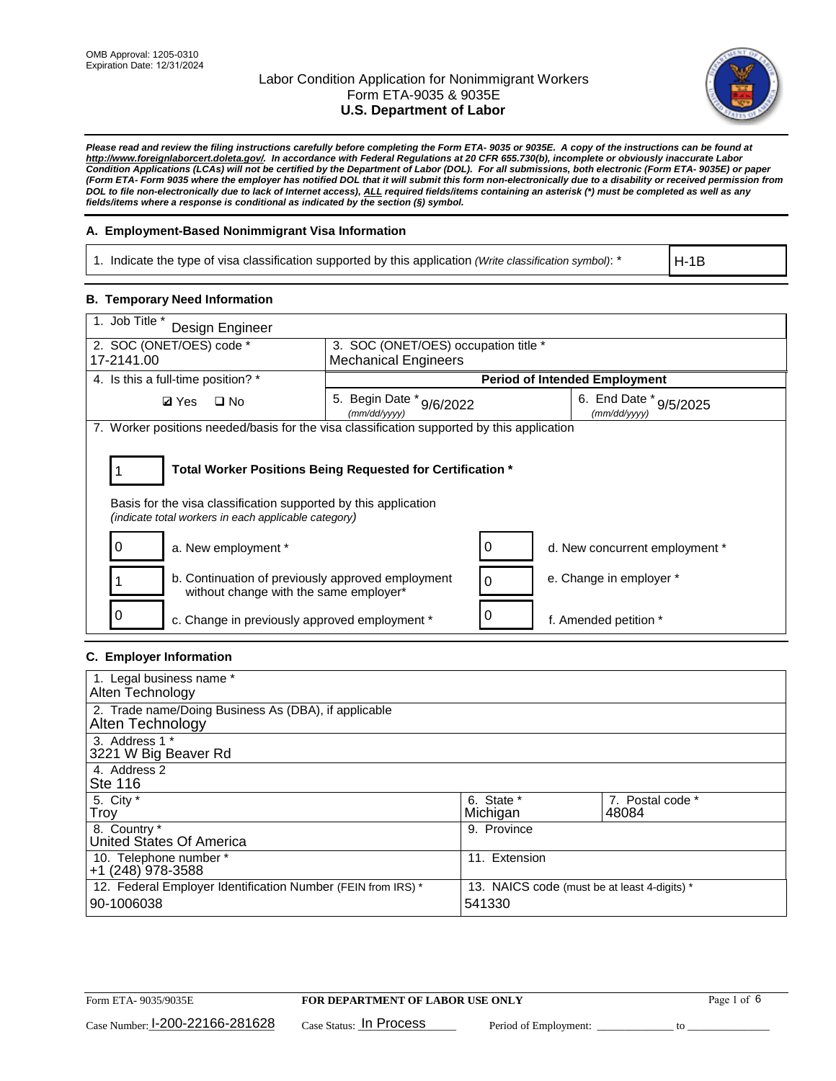

*Please read and review the filing instructions carefully before completing the Form ETA- 9035 or 9035E. A copy of the instructions can be found at [http://www.foreignlaborcert.doleta.gov/.](http://www.foreignlaborcert.doleta.gov/) In accordance with Federal Regulations at 20 CFR 655.730(b), incomplete or obviously inaccurate Labor Condition Applications (LCAs) will not be certified by the Department of Labor (DOL). For all submissions, both electronic (Form ETA- 9035E) or paper (Form ETA- Form 9035 where the employer has notified DOL that it will submit this form non-electronically due to a disability or received permission from DOL to file non-electronically due to lack of Internet access), ALL required fields/items containing an asterisk (\*) must be completed as well as any fields/items where a response is conditional as indicated by the section (§) symbol.* 

### **A. Employment-Based Nonimmigrant Visa Information**

1. Indicate the type of visa classification supported by this application *(Write classification symbol)*: \*

H-1B

### **B. Temporary Need Information**

| 1. Job Title *<br>Design Engineer                                                                                                                                                     |                                                                                    |                                |  |  |  |  |
|---------------------------------------------------------------------------------------------------------------------------------------------------------------------------------------|------------------------------------------------------------------------------------|--------------------------------|--|--|--|--|
| 2. SOC (ONET/OES) code *                                                                                                                                                              | 3. SOC (ONET/OES) occupation title *                                               |                                |  |  |  |  |
| 17-2141.00                                                                                                                                                                            | <b>Mechanical Engineers</b>                                                        |                                |  |  |  |  |
| 4. Is this a full-time position? *                                                                                                                                                    | <b>Period of Intended Employment</b>                                               |                                |  |  |  |  |
| <b>Ø</b> Yes<br>$\square$ No                                                                                                                                                          | 5. Begin Date * 9/6/2022<br>6. End Date * 9/5/2025<br>(mm/dd/vvvv)<br>(mm/dd/yyyy) |                                |  |  |  |  |
| 7. Worker positions needed/basis for the visa classification supported by this application                                                                                            |                                                                                    |                                |  |  |  |  |
| Total Worker Positions Being Requested for Certification *<br>Basis for the visa classification supported by this application<br>(indicate total workers in each applicable category) |                                                                                    |                                |  |  |  |  |
| 0<br>a. New employment *                                                                                                                                                              | 0                                                                                  | d. New concurrent employment * |  |  |  |  |
| b. Continuation of previously approved employment<br>without change with the same employer*                                                                                           | $\Omega$                                                                           | e. Change in employer *        |  |  |  |  |
| O<br>c. Change in previously approved employment *                                                                                                                                    | 0                                                                                  | f. Amended petition *          |  |  |  |  |

### **C. Employer Information**

| 1. Legal business name *<br>Alten Technology                               |                                                        |                           |
|----------------------------------------------------------------------------|--------------------------------------------------------|---------------------------|
| 2. Trade name/Doing Business As (DBA), if applicable<br>Alten Technology   |                                                        |                           |
| 3. Address 1 *<br>3221 W Big Beaver Rd                                     |                                                        |                           |
| 4. Address 2<br><b>Ste 116</b>                                             |                                                        |                           |
| 5. City *<br>Troy                                                          | 6. State *<br>Michigan                                 | 7. Postal code *<br>48084 |
| 8. Country *<br>United States Of America                                   | 9. Province                                            |                           |
| 10. Telephone number *<br>+1 (248) 978-3588                                | 11. Extension                                          |                           |
| 12. Federal Employer Identification Number (FEIN from IRS) *<br>90-1006038 | 13. NAICS code (must be at least 4-digits) *<br>541330 |                           |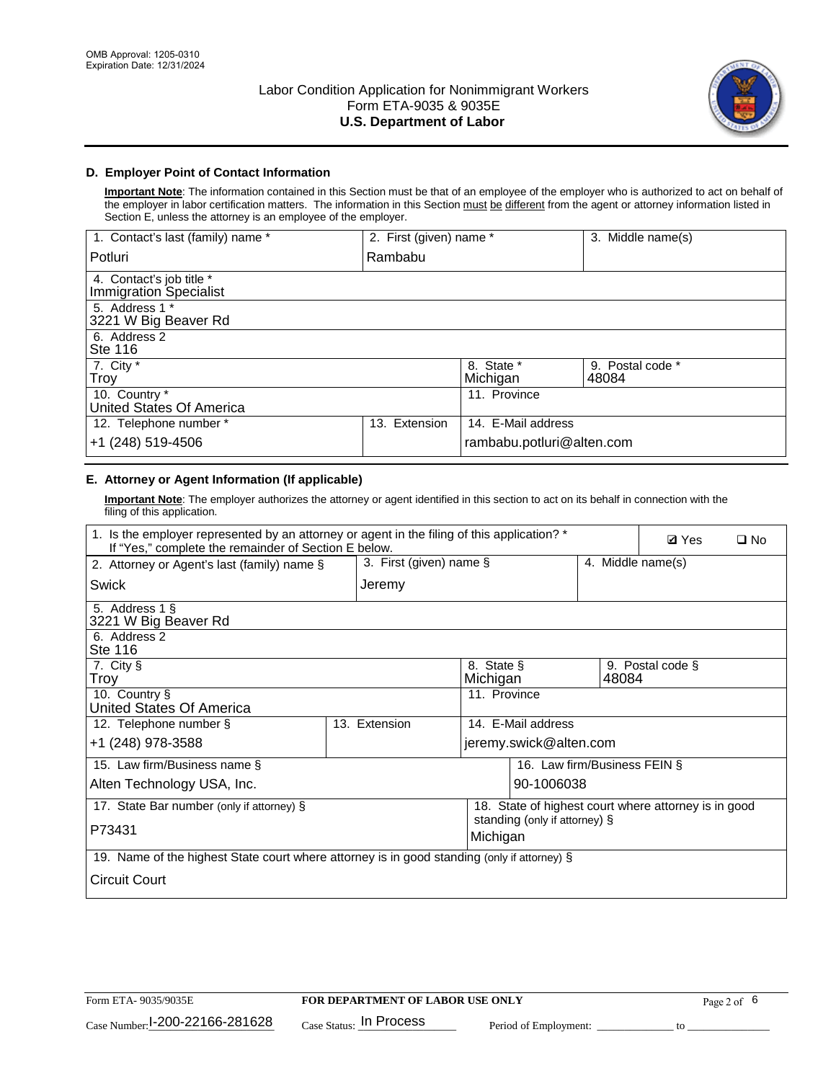

## **D. Employer Point of Contact Information**

**Important Note**: The information contained in this Section must be that of an employee of the employer who is authorized to act on behalf of the employer in labor certification matters. The information in this Section must be different from the agent or attorney information listed in Section E, unless the attorney is an employee of the employer.

| 1. Contact's last (family) name *                         | 2. First (given) name * |                           | 3. Middle name(s)         |
|-----------------------------------------------------------|-------------------------|---------------------------|---------------------------|
| Potluri                                                   | Rambabu                 |                           |                           |
| 4. Contact's job title *<br><b>Immigration Specialist</b> |                         |                           |                           |
| 5. Address 1 *<br>3221 W Big Beaver Rd                    |                         |                           |                           |
| 6. Address 2<br>Ste 116                                   |                         |                           |                           |
| 7. City $*$<br>Troy                                       |                         | 8. State *<br>Michigan    | 9. Postal code *<br>48084 |
| 10. Country *<br>United States Of America                 |                         | 11. Province              |                           |
| 12. Telephone number *                                    | Extension<br>13.        | 14. E-Mail address        |                           |
| +1 (248) 519-4506                                         |                         | rambabu.potluri@alten.com |                           |

# **E. Attorney or Agent Information (If applicable)**

**Important Note**: The employer authorizes the attorney or agent identified in this section to act on its behalf in connection with the filing of this application.

| 1. Is the employer represented by an attorney or agent in the filing of this application? *<br>If "Yes," complete the remainder of Section E below. |                                                     |                            |                               |                              |  | <b>Ø</b> Yes                                         | $\Box$ No |
|-----------------------------------------------------------------------------------------------------------------------------------------------------|-----------------------------------------------------|----------------------------|-------------------------------|------------------------------|--|------------------------------------------------------|-----------|
| 2. Attorney or Agent's last (family) name §                                                                                                         |                                                     | 3. First (given) name $\S$ |                               |                              |  | 4. Middle name(s)                                    |           |
| Swick                                                                                                                                               | Jeremy                                              |                            |                               |                              |  |                                                      |           |
| 5. Address 1 §<br>3221 W Big Beaver Rd                                                                                                              |                                                     |                            |                               |                              |  |                                                      |           |
| 6. Address 2<br><b>Ste 116</b>                                                                                                                      |                                                     |                            |                               |                              |  |                                                      |           |
| 7. City §<br>Troy                                                                                                                                   | 8. State §<br>9. Postal code §<br>Michigan<br>48084 |                            |                               |                              |  |                                                      |           |
| 11. Province<br>10. Country §<br>United States Of America                                                                                           |                                                     |                            |                               |                              |  |                                                      |           |
| 12. Telephone number §                                                                                                                              | 13. Extension                                       |                            |                               | 14. E-Mail address           |  |                                                      |           |
| +1 (248) 978-3588                                                                                                                                   |                                                     |                            |                               | jeremy.swick@alten.com       |  |                                                      |           |
| 15. Law firm/Business name §                                                                                                                        |                                                     |                            |                               | 16. Law firm/Business FEIN § |  |                                                      |           |
| Alten Technology USA, Inc.                                                                                                                          |                                                     |                            |                               | 90-1006038                   |  |                                                      |           |
| 17. State Bar number (only if attorney) §                                                                                                           |                                                     |                            |                               |                              |  | 18. State of highest court where attorney is in good |           |
| P73431<br>Michigan                                                                                                                                  |                                                     |                            | standing (only if attorney) § |                              |  |                                                      |           |
| 19. Name of the highest State court where attorney is in good standing (only if attorney) §                                                         |                                                     |                            |                               |                              |  |                                                      |           |
| Circuit Court                                                                                                                                       |                                                     |                            |                               |                              |  |                                                      |           |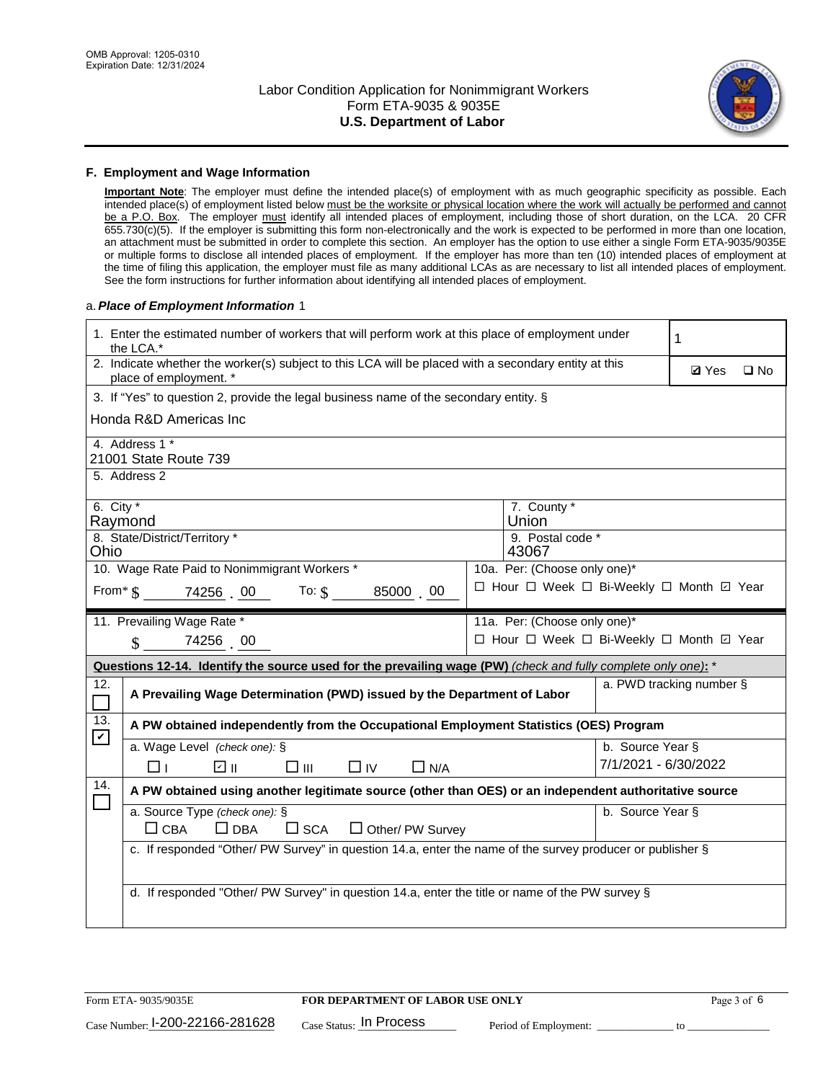

#### **F. Employment and Wage Information**

**Important Note**: The employer must define the intended place(s) of employment with as much geographic specificity as possible. Each intended place(s) of employment listed below must be the worksite or physical location where the work will actually be performed and cannot be a P.O. Box. The employer must identify all intended places of employment, including those of short duration, on the LCA. 20 CFR 655.730(c)(5). If the employer is submitting this form non-electronically and the work is expected to be performed in more than one location, an attachment must be submitted in order to complete this section. An employer has the option to use either a single Form ETA-9035/9035E or multiple forms to disclose all intended places of employment. If the employer has more than ten (10) intended places of employment at the time of filing this application, the employer must file as many additional LCAs as are necessary to list all intended places of employment. See the form instructions for further information about identifying all intended places of employment.

#### a.*Place of Employment Information* 1

|                                                                              | 1. Enter the estimated number of workers that will perform work at this place of employment under<br>the LCA.*                 |  | 1                                        |                          |              |              |
|------------------------------------------------------------------------------|--------------------------------------------------------------------------------------------------------------------------------|--|------------------------------------------|--------------------------|--------------|--------------|
|                                                                              | 2. Indicate whether the worker(s) subject to this LCA will be placed with a secondary entity at this<br>place of employment. * |  |                                          |                          | <b>Ø</b> Yes | $\square$ No |
|                                                                              | 3. If "Yes" to question 2, provide the legal business name of the secondary entity. §                                          |  |                                          |                          |              |              |
|                                                                              | Honda R&D Americas Inc                                                                                                         |  |                                          |                          |              |              |
|                                                                              | 4. Address 1 *<br>21001 State Route 739                                                                                        |  |                                          |                          |              |              |
|                                                                              | 5. Address 2                                                                                                                   |  |                                          |                          |              |              |
|                                                                              | 6. City $*$<br>7. County *<br>Union<br>Raymond                                                                                 |  |                                          |                          |              |              |
| 8. State/District/Territory *<br>9. Postal code *<br>43067<br>Ohio           |                                                                                                                                |  |                                          |                          |              |              |
| 10. Wage Rate Paid to Nonimmigrant Workers *<br>10a. Per: (Choose only one)* |                                                                                                                                |  |                                          |                          |              |              |
|                                                                              | □ Hour □ Week □ Bi-Weekly □ Month ☑ Year<br>From $\frac{1}{3}$ 74256 00 To: $\frac{1}{3}$<br>85000 00                          |  |                                          |                          |              |              |
|                                                                              | 11. Prevailing Wage Rate *                                                                                                     |  | 11a. Per: (Choose only one)*             |                          |              |              |
|                                                                              | 74256 00<br>$\mathcal{S}$                                                                                                      |  | □ Hour □ Week □ Bi-Weekly □ Month □ Year |                          |              |              |
|                                                                              | Questions 12-14. Identify the source used for the prevailing wage (PW) (check and fully complete only one): *                  |  |                                          |                          |              |              |
| 12.                                                                          | A Prevailing Wage Determination (PWD) issued by the Department of Labor                                                        |  |                                          | a. PWD tracking number § |              |              |
| 13.<br>$\blacktriangledown$                                                  | A PW obtained independently from the Occupational Employment Statistics (OES) Program                                          |  |                                          |                          |              |              |
|                                                                              | a. Wage Level (check one): §                                                                                                   |  |                                          | b. Source Year §         |              |              |
|                                                                              | ☑ ॥<br>□⊪<br>$\Box$ IV<br>$\Box$ N/A<br>l 11                                                                                   |  |                                          | 7/1/2021 - 6/30/2022     |              |              |
| 14.                                                                          | A PW obtained using another legitimate source (other than OES) or an independent authoritative source                          |  |                                          |                          |              |              |
|                                                                              | a. Source Type (check one): §<br>$\Box$ CBA<br>$\Box$ DBA<br>$\square$ SCA<br>$\Box$ Other/ PW Survey                          |  |                                          | b. Source Year §         |              |              |
|                                                                              | c. If responded "Other/ PW Survey" in question 14.a, enter the name of the survey producer or publisher §                      |  |                                          |                          |              |              |
|                                                                              | d. If responded "Other/ PW Survey" in question 14.a, enter the title or name of the PW survey §                                |  |                                          |                          |              |              |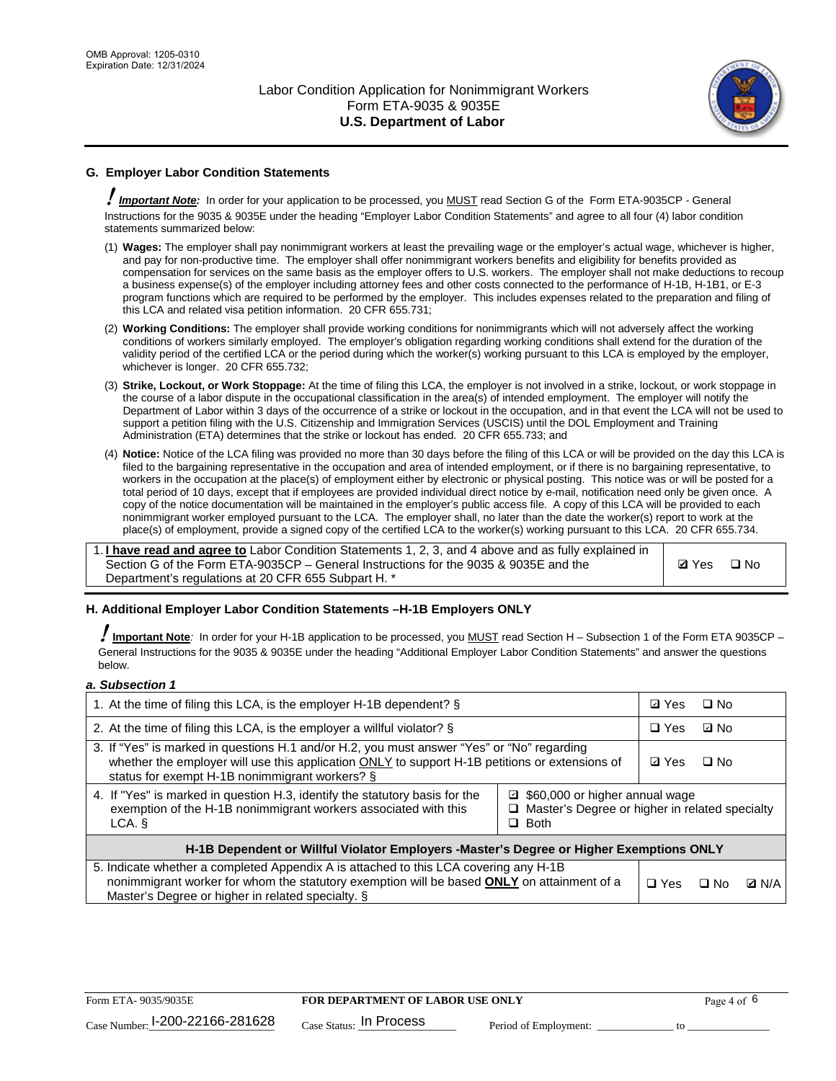

## **G. Employer Labor Condition Statements**

! *Important Note:* In order for your application to be processed, you MUST read Section G of the Form ETA-9035CP - General Instructions for the 9035 & 9035E under the heading "Employer Labor Condition Statements" and agree to all four (4) labor condition statements summarized below:

- (1) **Wages:** The employer shall pay nonimmigrant workers at least the prevailing wage or the employer's actual wage, whichever is higher, and pay for non-productive time. The employer shall offer nonimmigrant workers benefits and eligibility for benefits provided as compensation for services on the same basis as the employer offers to U.S. workers. The employer shall not make deductions to recoup a business expense(s) of the employer including attorney fees and other costs connected to the performance of H-1B, H-1B1, or E-3 program functions which are required to be performed by the employer. This includes expenses related to the preparation and filing of this LCA and related visa petition information. 20 CFR 655.731;
- (2) **Working Conditions:** The employer shall provide working conditions for nonimmigrants which will not adversely affect the working conditions of workers similarly employed. The employer's obligation regarding working conditions shall extend for the duration of the validity period of the certified LCA or the period during which the worker(s) working pursuant to this LCA is employed by the employer, whichever is longer. 20 CFR 655.732;
- (3) **Strike, Lockout, or Work Stoppage:** At the time of filing this LCA, the employer is not involved in a strike, lockout, or work stoppage in the course of a labor dispute in the occupational classification in the area(s) of intended employment. The employer will notify the Department of Labor within 3 days of the occurrence of a strike or lockout in the occupation, and in that event the LCA will not be used to support a petition filing with the U.S. Citizenship and Immigration Services (USCIS) until the DOL Employment and Training Administration (ETA) determines that the strike or lockout has ended. 20 CFR 655.733; and
- (4) **Notice:** Notice of the LCA filing was provided no more than 30 days before the filing of this LCA or will be provided on the day this LCA is filed to the bargaining representative in the occupation and area of intended employment, or if there is no bargaining representative, to workers in the occupation at the place(s) of employment either by electronic or physical posting. This notice was or will be posted for a total period of 10 days, except that if employees are provided individual direct notice by e-mail, notification need only be given once. A copy of the notice documentation will be maintained in the employer's public access file. A copy of this LCA will be provided to each nonimmigrant worker employed pursuant to the LCA. The employer shall, no later than the date the worker(s) report to work at the place(s) of employment, provide a signed copy of the certified LCA to the worker(s) working pursuant to this LCA. 20 CFR 655.734.

1. **I have read and agree to** Labor Condition Statements 1, 2, 3, and 4 above and as fully explained in Section G of the Form ETA-9035CP – General Instructions for the 9035 & 9035E and the Department's regulations at 20 CFR 655 Subpart H. \*

**Ø**Yes ロNo

### **H. Additional Employer Labor Condition Statements –H-1B Employers ONLY**

!**Important Note***:* In order for your H-1B application to be processed, you MUST read Section H – Subsection 1 of the Form ETA 9035CP – General Instructions for the 9035 & 9035E under the heading "Additional Employer Labor Condition Statements" and answer the questions below.

#### *a. Subsection 1*

| 1. At the time of filing this LCA, is the employer H-1B dependent? §                                                                                                                                                                                            | ⊡ Yes      | $\square$ No |              |  |
|-----------------------------------------------------------------------------------------------------------------------------------------------------------------------------------------------------------------------------------------------------------------|------------|--------------|--------------|--|
| 2. At the time of filing this LCA, is the employer a willful violator? $\S$                                                                                                                                                                                     |            | $\Box$ Yes   | ⊡ No         |  |
| 3. If "Yes" is marked in questions H.1 and/or H.2, you must answer "Yes" or "No" regarding<br>whether the employer will use this application ONLY to support H-1B petitions or extensions of<br>status for exempt H-1B nonimmigrant workers? §                  |            |              | $\Box$ No    |  |
| 4. If "Yes" is marked in question H.3, identify the statutory basis for the<br>■ \$60,000 or higher annual wage<br>exemption of the H-1B nonimmigrant workers associated with this<br>□ Master's Degree or higher in related specialty<br>$\Box$ Both<br>LCA. § |            |              |              |  |
| H-1B Dependent or Willful Violator Employers -Master's Degree or Higher Exemptions ONLY                                                                                                                                                                         |            |              |              |  |
| 5. Indicate whether a completed Appendix A is attached to this LCA covering any H-1B<br>nonimmigrant worker for whom the statutory exemption will be based <b>ONLY</b> on attainment of a<br>Master's Degree or higher in related specialty. §                  | $\Box$ Yes | ⊡ No         | <b>Q</b> N/A |  |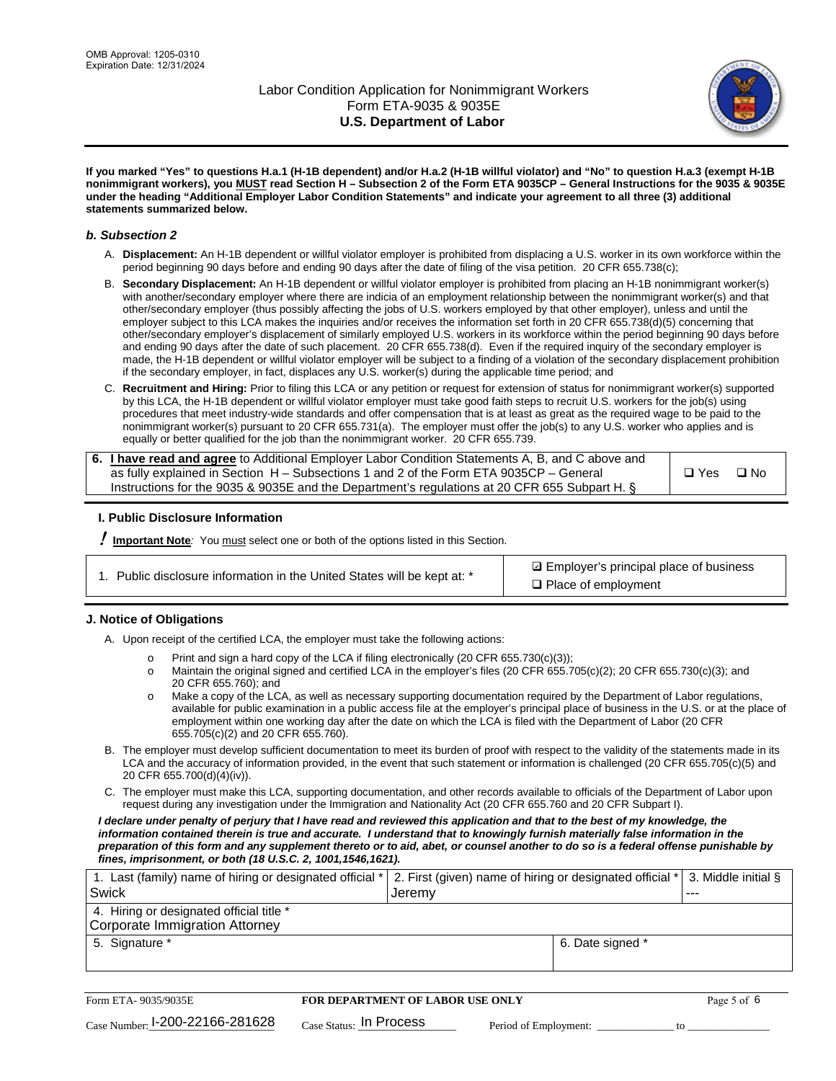

**If you marked "Yes" to questions H.a.1 (H-1B dependent) and/or H.a.2 (H-1B willful violator) and "No" to question H.a.3 (exempt H-1B nonimmigrant workers), you MUST read Section H – Subsection 2 of the Form ETA 9035CP – General Instructions for the 9035 & 9035E under the heading "Additional Employer Labor Condition Statements" and indicate your agreement to all three (3) additional statements summarized below.**

#### *b. Subsection 2*

- A. **Displacement:** An H-1B dependent or willful violator employer is prohibited from displacing a U.S. worker in its own workforce within the period beginning 90 days before and ending 90 days after the date of filing of the visa petition. 20 CFR 655.738(c);
- B. **Secondary Displacement:** An H-1B dependent or willful violator employer is prohibited from placing an H-1B nonimmigrant worker(s) with another/secondary employer where there are indicia of an employment relationship between the nonimmigrant worker(s) and that other/secondary employer (thus possibly affecting the jobs of U.S. workers employed by that other employer), unless and until the employer subject to this LCA makes the inquiries and/or receives the information set forth in 20 CFR 655.738(d)(5) concerning that other/secondary employer's displacement of similarly employed U.S. workers in its workforce within the period beginning 90 days before and ending 90 days after the date of such placement. 20 CFR 655.738(d). Even if the required inquiry of the secondary employer is made, the H-1B dependent or willful violator employer will be subject to a finding of a violation of the secondary displacement prohibition if the secondary employer, in fact, displaces any U.S. worker(s) during the applicable time period; and
- C. **Recruitment and Hiring:** Prior to filing this LCA or any petition or request for extension of status for nonimmigrant worker(s) supported by this LCA, the H-1B dependent or willful violator employer must take good faith steps to recruit U.S. workers for the job(s) using procedures that meet industry-wide standards and offer compensation that is at least as great as the required wage to be paid to the nonimmigrant worker(s) pursuant to 20 CFR 655.731(a). The employer must offer the job(s) to any U.S. worker who applies and is equally or better qualified for the job than the nonimmigrant worker. 20 CFR 655.739.

| 6. I have read and agree to Additional Employer Labor Condition Statements A, B, and C above and |       |           |
|--------------------------------------------------------------------------------------------------|-------|-----------|
| as fully explained in Section H – Subsections 1 and 2 of the Form ETA 9035CP – General           | □ Yes | $\Box$ No |
| Instructions for the 9035 & 9035E and the Department's regulations at 20 CFR 655 Subpart H. §    |       |           |

### **I. Public Disclosure Information**

! **Important Note***:* You must select one or both of the options listed in this Section.

|  | 1. Public disclosure information in the United States will be kept at: * |  |  |  |
|--|--------------------------------------------------------------------------|--|--|--|
|  |                                                                          |  |  |  |

**sqrt** Employer's principal place of business □ Place of employment

### **J. Notice of Obligations**

A. Upon receipt of the certified LCA, the employer must take the following actions:

- o Print and sign a hard copy of the LCA if filing electronically (20 CFR 655.730(c)(3));<br>
Maintain the original signed and certified LCA in the employer's files (20 CFR 655.7
- Maintain the original signed and certified LCA in the employer's files (20 CFR 655.705(c)(2); 20 CFR 655.730(c)(3); and 20 CFR 655.760); and
- o Make a copy of the LCA, as well as necessary supporting documentation required by the Department of Labor regulations, available for public examination in a public access file at the employer's principal place of business in the U.S. or at the place of employment within one working day after the date on which the LCA is filed with the Department of Labor (20 CFR 655.705(c)(2) and 20 CFR 655.760).
- B. The employer must develop sufficient documentation to meet its burden of proof with respect to the validity of the statements made in its LCA and the accuracy of information provided, in the event that such statement or information is challenged (20 CFR 655.705(c)(5) and 20 CFR 655.700(d)(4)(iv)).
- C. The employer must make this LCA, supporting documentation, and other records available to officials of the Department of Labor upon request during any investigation under the Immigration and Nationality Act (20 CFR 655.760 and 20 CFR Subpart I).

*I declare under penalty of perjury that I have read and reviewed this application and that to the best of my knowledge, the*  information contained therein is true and accurate. I understand that to knowingly furnish materially false information in the *preparation of this form and any supplement thereto or to aid, abet, or counsel another to do so is a federal offense punishable by fines, imprisonment, or both (18 U.S.C. 2, 1001,1546,1621).*

| 1. Last (family) name of hiring or designated official *   2. First (given) name of hiring or designated official *   3. Middle initial § |                  |         |
|-------------------------------------------------------------------------------------------------------------------------------------------|------------------|---------|
| Swick                                                                                                                                     | l Jeremv         | $- - -$ |
| 4. Hiring or designated official title *                                                                                                  |                  |         |
| Corporate Immigration Attorney                                                                                                            |                  |         |
| 5. Signature *                                                                                                                            | 6. Date signed * |         |
|                                                                                                                                           |                  |         |